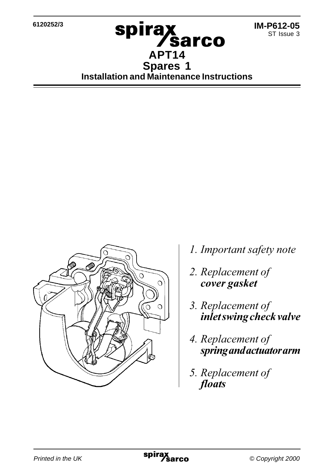**6120252/3**



**Spirax<br>APT14 Spares 1 Installation and Maintenance Instructions**



- *l*. Important safety note
- 2. Replacement of *-*
- 3. Replacement of inlet swing check valve
- 4. Replacement of spring and actuator arm
- 5. Replacement of *floats*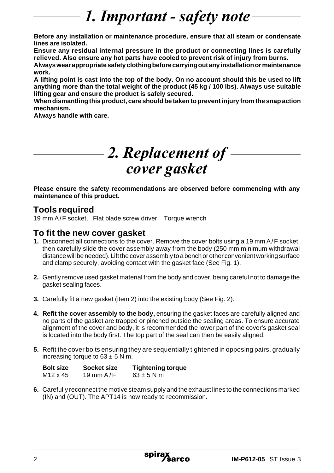## 1. Important - safety note

**Before any installation or maintenance procedure, ensure that all steam or condensate lines are isolated.**

**Ensure any residual internal pressure in the product or connecting lines is carefully relieved. Also ensure any hot parts have cooled to prevent risk of injury from burns.**

**Always wear appropriate safety clothing before carrying out any installation or maintenance work.**

**A lifting point is cast into the top of the body. On no account should this be used to lift anything more than the total weight of the product (45 kg / 100 lbs). Always use suitable lifting gear and ensure the product is safely secured.**

**When dismantling this product, care should be taken to prevent injury from the snap action mechanism.**

**Always handle with care.**



**Please ensure the safety recommendations are observed before commencing with any maintenance of this product.**

#### **Tools required**

19 mm A/F socket, Flat blade screw driver, Torque wrench

### **To fit the new cover gasket**

- **1.** Disconnect all connections to the cover. Remove the cover bolts using a 19 mm A/F socket, then carefully slide the cover assembly away from the body (250 mm minimum withdrawal distance will be needed). Lift the cover assembly to a bench or other convenient working surface and clamp securely, avoiding contact with the gasket face (See Fig. 1).
- **2.** Gently remove used gasket material from the body and cover, being careful not to damage the gasket sealing faces.
- **3.** Carefully fit a new gasket (item 2) into the existing body (See Fig. 2).
- **4. Refit the cover assembly to the body,** ensuring the gasket faces are carefully aligned and no parts of the gasket are trapped or pinched outside the sealing areas. To ensure accurate alignment of the cover and body, it is recommended the lower part of the cover's gasket seal is located into the body first. The top part of the seal can then be easily aligned.
- **5.** Refit the cover bolts ensuring they are sequentially tightened in opposing pairs, gradually increasing torque to  $63 \pm 5$  N m.

| <b>Bolt size</b> | Socket size | <b>Tightening torque</b> |
|------------------|-------------|--------------------------|
| M12 x 45         | 19 mm $A/F$ | $63 \pm 5$ N m           |

**6.** Carefully reconnect the motive steam supply and the exhaust lines to the connections marked (IN) and (OUT). The APT14 is now ready to recommission.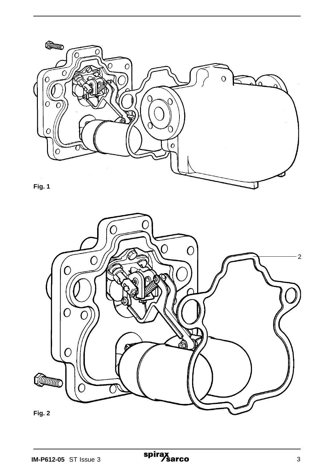



**Fig. 2**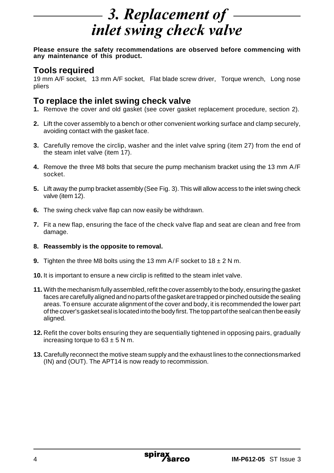### 3. Replacement of *inlet swing check valve*

**Please ensure the safety recommendations are observed before commencing with any maintenance of this product.**

### **Tools required**

19 mm A/F socket, 13 mm A/F socket, Flat blade screw driver, Torque wrench, Long nose pliers

### **To replace the inlet swing check valve**

- **1.** Remove the cover and old gasket (see cover gasket replacement procedure, section 2).
- **2.** Lift the cover assembly to a bench or other convenient working surface and clamp securely, avoiding contact with the gasket face.
- **3.** Carefully remove the circlip, washer and the inlet valve spring (item 27) from the end of the steam inlet valve (item 17).
- **4.** Remove the three M8 bolts that secure the pump mechanism bracket using the 13 mm A /F socket.
- **5.** Lift away the pump bracket assembly (See Fig. 3). This will allow access to the inlet swing check valve (item 12).
- **6.** The swing check valve flap can now easily be withdrawn.
- **7.** Fit a new flap, ensuring the face of the check valve flap and seat are clean and free from damage.
- **8. Reassembly is the opposite to removal.**
- **9.** Tighten the three M8 bolts using the 13 mm  $A/F$  socket to 18  $\pm$  2 N m.
- **10.** It is important to ensure a new circlip is refitted to the steam inlet valve.
- **11.** With the mechanism fully assembled, refit the cover assembly to the body, ensuring the gasket faces are carefully aligned and no parts of the gasket are trapped or pinched outside the sealing areas. To ensure accurate alignment of the cover and body, it is recommended the lower part of the cover's gasket seal is located into the body first. The top part of the seal can then be easily aligned.
- **12.** Refit the cover bolts ensuring they are sequentially tightened in opposing pairs, gradually increasing torque to  $63 \pm 5$  N m.
- **13.** Carefully reconnect the motive steam supply and the exhaust lines to the connections marked (IN) and (OUT). The APT14 is now ready to recommission.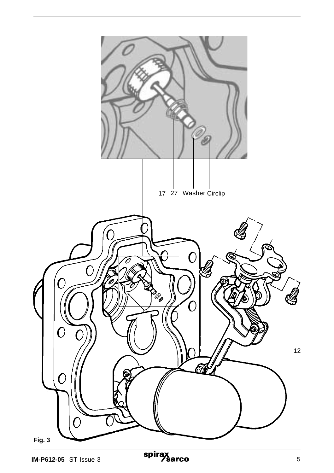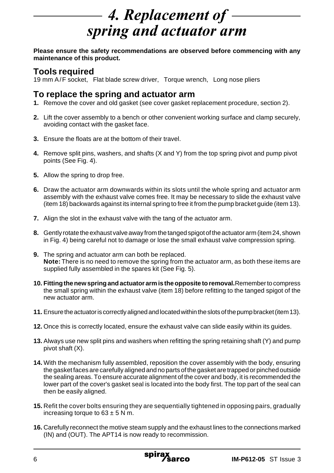### 4. Replacement of spring and actuator arm

**Please ensure the safety recommendations are observed before commencing with any maintenance of this product.**

### **Tools required**

19 mm A/F socket, Flat blade screw driver, Torque wrench, Long nose pliers

### **To replace the spring and actuator arm**

- **1.** Remove the cover and old gasket (see cover gasket replacement procedure, section 2).
- **2.** Lift the cover assembly to a bench or other convenient working surface and clamp securely, avoiding contact with the gasket face.
- **3.** Ensure the floats are at the bottom of their travel.
- **4.** Remove split pins, washers, and shafts (X and Y) from the top spring pivot and pump pivot points (See Fig. 4).
- **5.** Allow the spring to drop free.
- **6.** Draw the actuator arm downwards within its slots until the whole spring and actuator arm assembly with the exhaust valve comes free. It may be necessary to slide the exhaust valve (item 18) backwards against its internal spring to free it from the pump bracket guide (item 13).
- **7.** Align the slot in the exhaust valve with the tang of the actuator arm.
- **8.** Gently rotate the exhaust valve away from the tanged spigot of the actuator arm (item 24, shown in Fig. 4) being careful not to damage or lose the small exhaust valve compression spring.
- **9.** The spring and actuator arm can both be replaced. **Note:** There is no need to remove the spring from the actuator arm, as both these items are supplied fully assembled in the spares kit (See Fig. 5).
- **10. Fitting the new spring and actuator arm is the opposite to removal.** Remember to compress the small spring within the exhaust valve (item 18) before refitting to the tanged spigot of the new actuator arm.
- **11.** Ensure the actuator is correctly aligned and located within the slots of the pump bracket (item 13).
- **12.** Once this is correctly located, ensure the exhaust valve can slide easily within its guides.
- **13.** Always use new split pins and washers when refitting the spring retaining shaft (Y) and pump pivot shaft (X).
- **14.** With the mechanism fully assembled, reposition the cover assembly with the body, ensuring the gasket faces are carefully aligned and no parts of the gasket are trapped or pinched outside the sealing areas. To ensure accurate alignment of the cover and body, it is recommended the lower part of the cover's gasket seal is located into the body first. The top part of the seal can then be easily aligned.
- **15.** Refit the cover bolts ensuring they are sequentially tightened in opposing pairs, gradually increasing torque to  $63 \pm 5$  N m.
- **16.** Carefully reconnect the motive steam supply and the exhaust lines to the connections marked (IN) and (OUT). The APT14 is now ready to recommission.

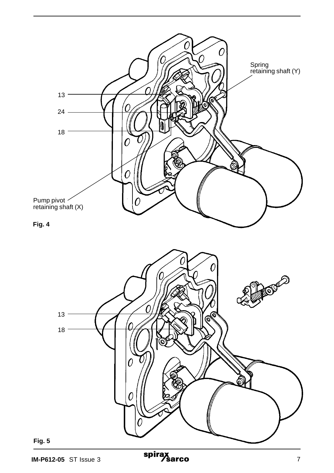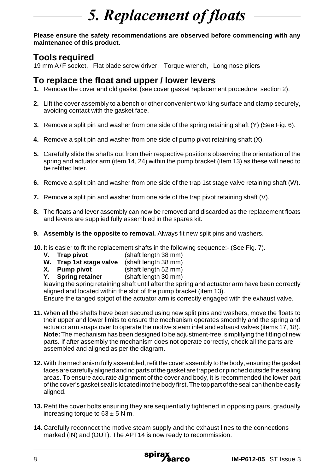# 5. Replacement of floats

**Please ensure the safety recommendations are observed before commencing with any maintenance of this product.**

### **Tools required**

19 mm A/F socket, Flat blade screw driver, Torque wrench, Long nose pliers

### **To replace the float and upper / lower levers**

- **1.** Remove the cover and old gasket (see cover gasket replacement procedure, section 2).
- **2.** Lift the cover assembly to a bench or other convenient working surface and clamp securely, avoiding contact with the gasket face.
- **3.** Remove a split pin and washer from one side of the spring retaining shaft (Y) (See Fig. 6).
- **4.** Remove a split pin and washer from one side of pump pivot retaining shaft (X).
- **5.** Carefully slide the shafts out from their respective positions observing the orientation of the spring and actuator arm (item 14, 24) within the pump bracket (item 13) as these will need to be refitted later.
- **6.** Remove a split pin and washer from one side of the trap 1st stage valve retaining shaft (W).
- **7.** Remove a split pin and washer from one side of the trap pivot retaining shaft (V).
- **8.** The floats and lever assembly can now be removed and discarded as the replacement floats and levers are supplied fully assembled in the spares kit.
- **9. Assembly is the opposite to removal.** Always fit new split pins and washers.
- **10.** It is easier to fit the replacement shafts in the following sequence:- (See Fig. 7).<br>**V.** Trap pivot (shaft length 38 mm)
	- (shaft length 38 mm)
	- **W.** Trap 1st stage valve (shaft length 38 mm)<br>**X.** Pump pivot (shaft length 52 mm)
	- (shaft length 52 mm)<br>(shaft length 30 mm)
	- **Y.** Spring retainer

leaving the spring retaining shaft until after the spring and actuator arm have been correctly aligned and located within the slot of the pump bracket (item 13).

Ensure the tanged spigot of the actuator arm is correctly engaged with the exhaust valve.

- **11.** When all the shafts have been secured using new split pins and washers, move the floats to their upper and lower limits to ensure the mechanism operates smoothly and the spring and actuator arm snaps over to operate the motive steam inlet and exhaust valves (items 17, 18). **Note:** The mechanism has been designed to be adjustment-free, simplifying the fitting of new parts. If after assembly the mechanism does not operate correctly, check all the parts are assembled and aligned as per the diagram.
- **12.** With the mechanism fully assembled, refit the cover assembly to the body, ensuring the gasket faces are carefully aligned and no parts of the gasket are trapped or pinched outside the sealing areas. To ensure accurate alignment of the cover and body, it is recommended the lower part of the cover's gasket seal is located into the body first. The top part of the seal can then be easily aligned.
- **13.** Refit the cover bolts ensuring they are sequentially tightened in opposing pairs, gradually increasing torque to  $63 \pm 5$  N m.
- **14.** Carefully reconnect the motive steam supply and the exhaust lines to the connections marked (IN) and (OUT). The APT14 is now ready to recommission.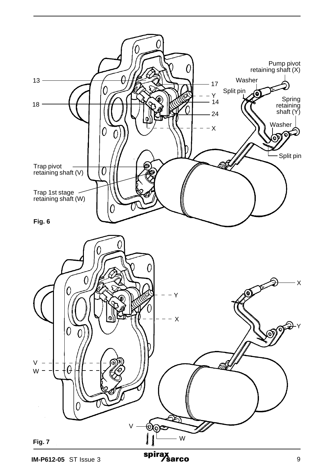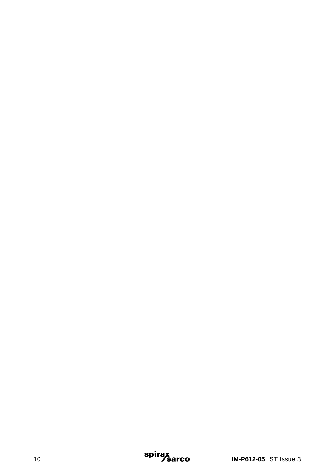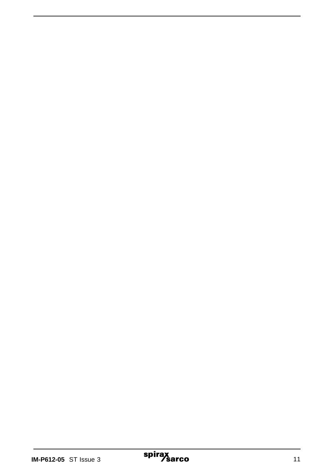